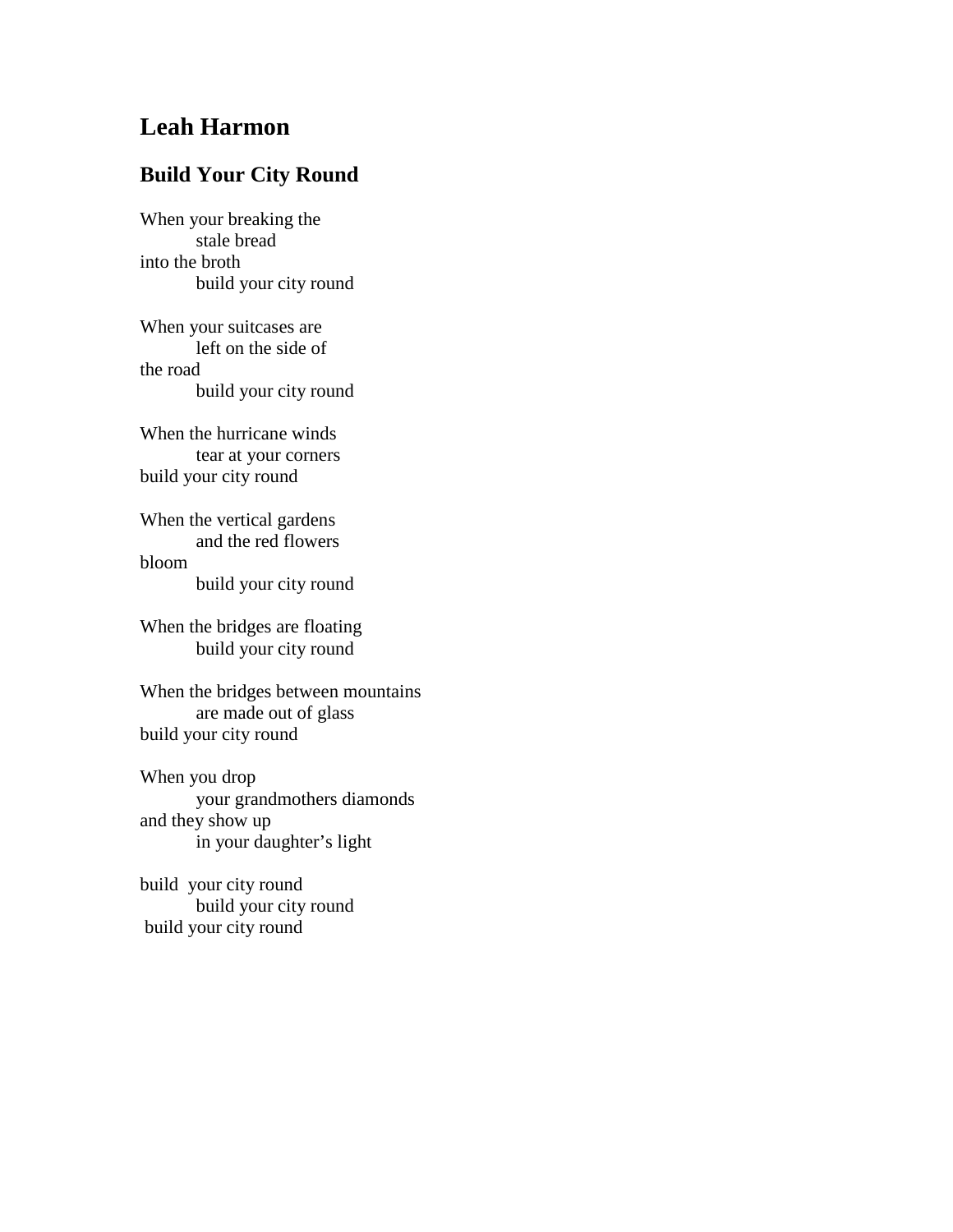## **Leah Harmon**

## **Build Your City Round**

When your breaking the stale bread into the broth build your city round

When your suitcases are left on the side of the road build your city round

When the hurricane winds tear at your corners build your city round

When the vertical gardens and the red flowers bloom build your city round

When the bridges are floating build your city round

When the bridges between mountains are made out of glass build your city round

When you drop your grandmothers diamonds and they show up in your daughter's light

build your city round build your city round build your city round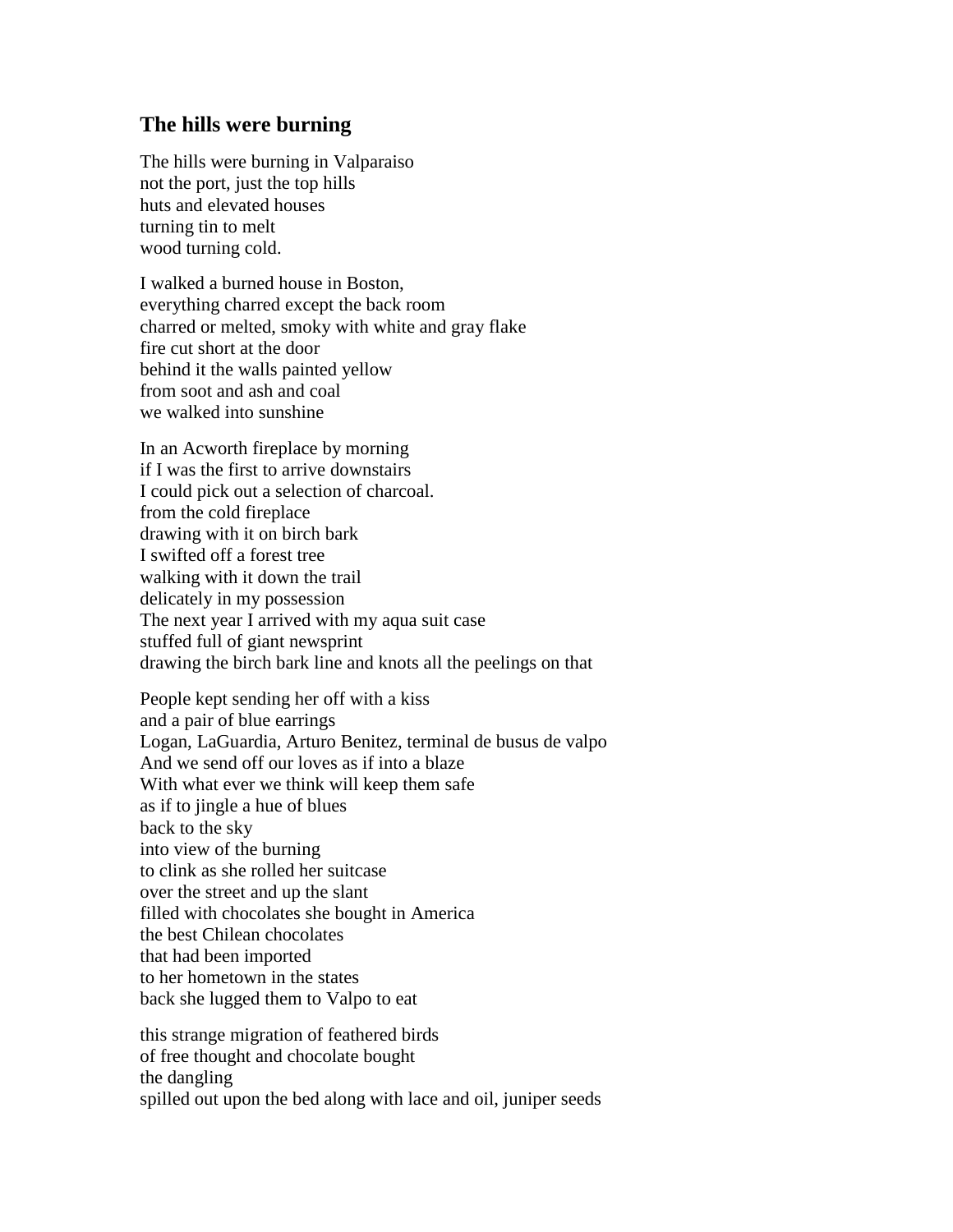## **The hills were burning**

The hills were burning in Valparaiso not the port, just the top hills huts and elevated houses turning tin to melt wood turning cold.

I walked a burned house in Boston, everything charred except the back room charred or melted, smoky with white and gray flake fire cut short at the door behind it the walls painted yellow from soot and ash and coal we walked into sunshine

In an Acworth fireplace by morning if I was the first to arrive downstairs I could pick out a selection of charcoal. from the cold fireplace drawing with it on birch bark I swifted off a forest tree walking with it down the trail delicately in my possession The next year I arrived with my aqua suit case stuffed full of giant newsprint drawing the birch bark line and knots all the peelings on that

People kept sending her off with a kiss and a pair of blue earrings Logan, LaGuardia, Arturo Benitez, terminal de busus de valpo And we send off our loves as if into a blaze With what ever we think will keep them safe as if to jingle a hue of blues back to the sky into view of the burning to clink as she rolled her suitcase over the street and up the slant filled with chocolates she bought in America the best Chilean chocolates that had been imported to her hometown in the states back she lugged them to Valpo to eat

this strange migration of feathered birds of free thought and chocolate bought the dangling spilled out upon the bed along with lace and oil, juniper seeds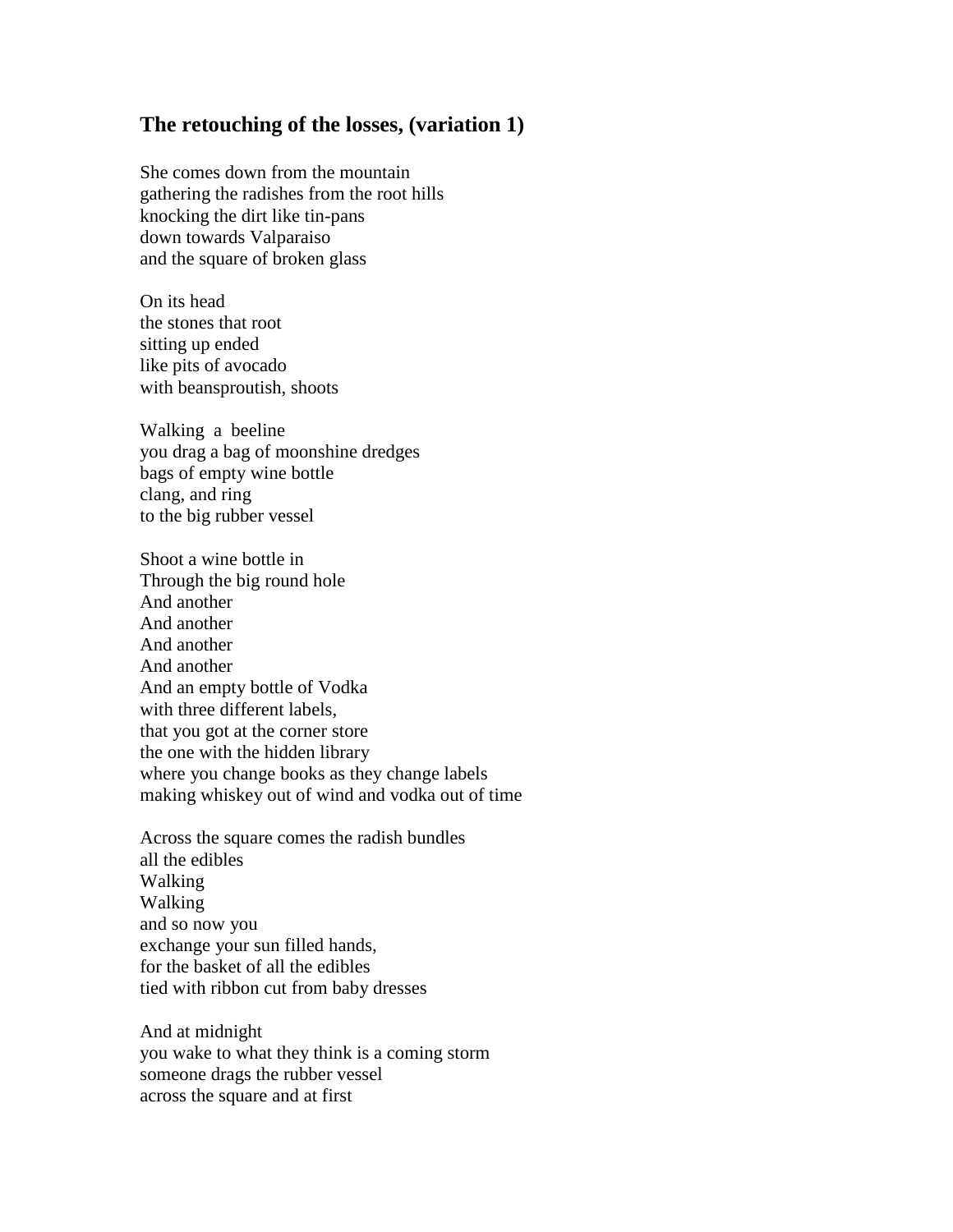## **The retouching of the losses, (variation 1)**

She comes down from the mountain gathering the radishes from the root hills knocking the dirt like tin-pans down towards Valparaiso and the square of broken glass

On its head the stones that root sitting up ended like pits of avocado with beansproutish, shoots

Walking a beeline you drag a bag of moonshine dredges bags of empty wine bottle clang, and ring to the big rubber vessel

Shoot a wine bottle in Through the big round hole And another And another And another And another And an empty bottle of Vodka with three different labels, that you got at the corner store the one with the hidden library where you change books as they change labels making whiskey out of wind and vodka out of time

Across the square comes the radish bundles all the edibles Walking Walking and so now you exchange your sun filled hands, for the basket of all the edibles tied with ribbon cut from baby dresses

And at midnight you wake to what they think is a coming storm someone drags the rubber vessel across the square and at first